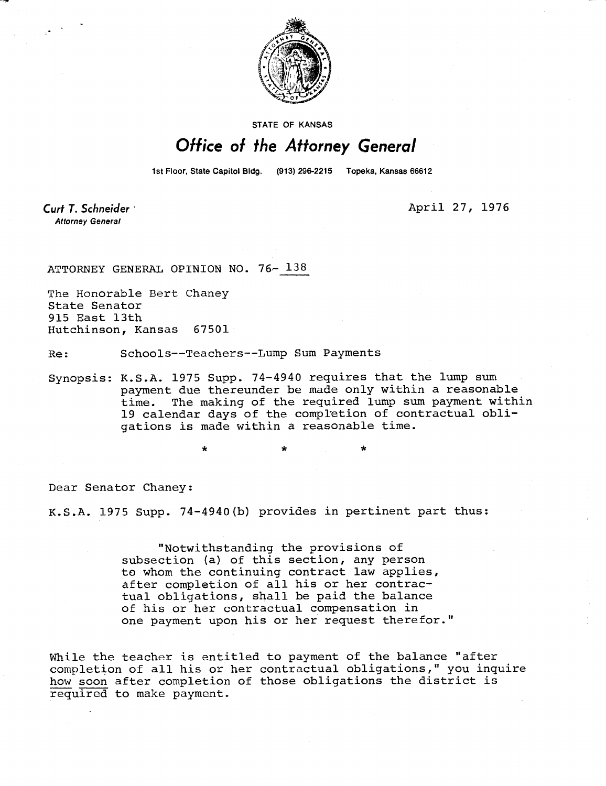

**STATE OF KANSAS** 

## Office of the Attorney General

1st Floor, State Capitol Bldg. (913) 296-2215 Topeka, Kansas 66612

Curt T. Schneider **Attorney General** 

April 27, 1976

ATTORNEY GENERAL OPINION NO. 76- 138

The Honorable Bert Chaney State Senator 915 East 13th Hutchinson, Kansas 67501

Re: Schools--Teachers--Lump Sum Payments

\*

Synopsis: K.S.A. 1975 Supp. 74-4940 requires that the lump sum payment due thereunder be made only within a reasonable time. The making of the required lump sum payment within 19 calendar days of the completion of contractual obligations is made within a reasonable time.

Dear Senator Chaney:

K.S.A. 1975 Supp. 74-4940(b) provides in pertinent part thus:

"Notwithstanding the provisions of subsection (a) of this section, any person to whom the continuing contract law applies, after completion of all his or her contractual obligations, shall be paid the balance of his or her contractual compensation in one payment upon his or her request therefor."

While the teacher is entitled to payment of the balance "after completion of all his or her contractual obligations," you inquire how soon after completion of those obligations the district is required to make payment.